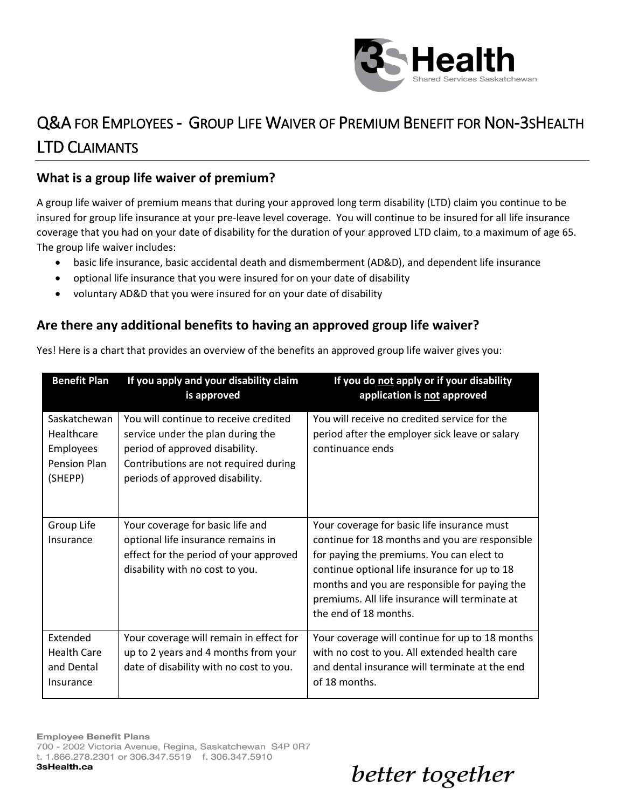

## Q&A FOR EMPLOYEES - GROUP LIFE WAIVER OF PREMIUM BENEFIT FOR NON-3SHEALTH LTD CLAIMANTS

## **What is a group life waiver of premium?**

A group life waiver of premium means that during your approved long term disability (LTD) claim you continue to be insured for group life insurance at your pre-leave level coverage. You will continue to be insured for all life insurance coverage that you had on your date of disability for the duration of your approved LTD claim, to a maximum of age 65. The group life waiver includes:

- basic life insurance, basic accidental death and dismemberment (AD&D), and dependent life insurance
- optional life insurance that you were insured for on your date of disability
- voluntary AD&D that you were insured for on your date of disability

### **Are there any additional benefits to having an approved group life waiver?**

| <b>Benefit Plan</b>                                                | If you apply and your disability claim<br>is approved                                                                                                                                    | If you do not apply or if your disability<br>application is not approved                                                                                                                                                                                                                                                |
|--------------------------------------------------------------------|------------------------------------------------------------------------------------------------------------------------------------------------------------------------------------------|-------------------------------------------------------------------------------------------------------------------------------------------------------------------------------------------------------------------------------------------------------------------------------------------------------------------------|
| Saskatchewan<br>Healthcare<br>Employees<br>Pension Plan<br>(SHEPP) | You will continue to receive credited<br>service under the plan during the<br>period of approved disability.<br>Contributions are not required during<br>periods of approved disability. | You will receive no credited service for the<br>period after the employer sick leave or salary<br>continuance ends                                                                                                                                                                                                      |
| Group Life<br>Insurance                                            | Your coverage for basic life and<br>optional life insurance remains in<br>effect for the period of your approved<br>disability with no cost to you.                                      | Your coverage for basic life insurance must<br>continue for 18 months and you are responsible<br>for paying the premiums. You can elect to<br>continue optional life insurance for up to 18<br>months and you are responsible for paying the<br>premiums. All life insurance will terminate at<br>the end of 18 months. |
| Extended<br><b>Health Care</b><br>and Dental<br>Insurance          | Your coverage will remain in effect for<br>up to 2 years and 4 months from your<br>date of disability with no cost to you.                                                               | Your coverage will continue for up to 18 months<br>with no cost to you. All extended health care<br>and dental insurance will terminate at the end<br>of 18 months.                                                                                                                                                     |

Yes! Here is a chart that provides an overview of the benefits an approved group life waiver gives you: